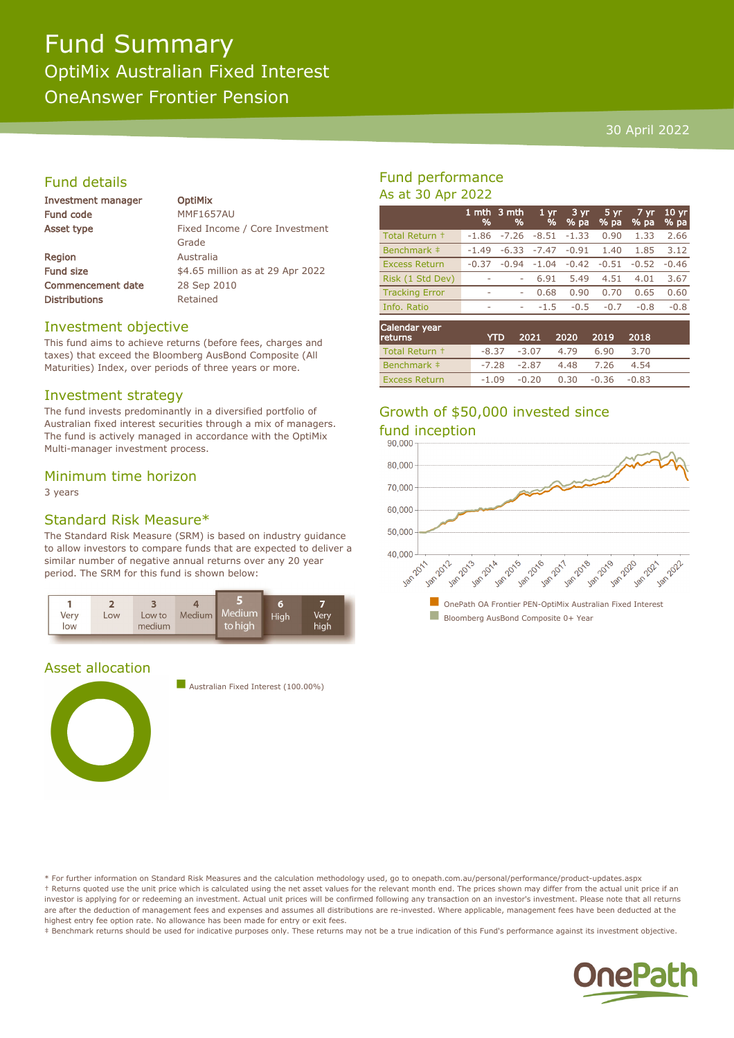# Fund Summary OptiMix Australian Fixed Interest OneAnswer Frontier Pension

### 30 April 2022

# Fund details

| Investment manager |  |
|--------------------|--|
| <b>Fund code</b>   |  |
| Asset type         |  |

Region Australia Commencement date 28 Sep 2010 Distributions Retained

**OptiMix MMF1657AU** Fixed Income / Core Investment Grade Fund size  $$4.65$  million as at 29 Apr 2022

### Investment objective

This fund aims to achieve returns (before fees, charges and taxes) that exceed the Bloomberg AusBond Composite (All Maturities) Index, over periods of three years or more.

#### Investment strategy

The fund invests predominantly in a diversified portfolio of Australian fixed interest securities through a mix of managers. The fund is actively managed in accordance with the OptiMix Multi-manager investment process.

#### Minimum time horizon

3 years

#### Standard Risk Measure\*

The Standard Risk Measure (SRM) is based on industry guidance to allow investors to compare funds that are expected to deliver a similar number of negative annual returns over any 20 year period. The SRM for this fund is shown below:



# Asset allocation



**n** Australian Fixed Interest (100.00%)

# Fund performance As at 30 Apr 2022

|                                             | %       | 1 mth 3 mth<br>% | 1 <sub>yr</sub><br>% | 3 yr<br>% pa         | 5 yr<br>% pa                              | 7 yr<br>% pa               | 10 <sub>yr</sub><br>% pa |
|---------------------------------------------|---------|------------------|----------------------|----------------------|-------------------------------------------|----------------------------|--------------------------|
| Total Return +                              | $-1.86$ | $-7.26$          | $-8.51$              | $-1.33$              | 0.90                                      | 1.33                       | 2.66                     |
| Benchmark ‡                                 | $-1.49$ | $-6.33$          | $-7.47$              | $-0.91$              | 1.40                                      | 1.85                       | 3.12                     |
| <b>Excess Return</b>                        | $-0.37$ | $-0.94$          | $-1.04$              | $-0.42$              | $-0.51$                                   | $-0.52$                    | $-0.46$                  |
| Risk (1 Std Dev)                            | ۰       |                  | 6.91                 | 5.49                 | 4.51                                      | 4.01                       | 3.67                     |
| <b>Tracking Error</b>                       | ۰       | ۰                | 0.68                 | 0.90                 | 0.70                                      | 0.65                       | 0.60                     |
| Info. Ratio                                 | ٠       | ۰                | $-1.5$               | $-0.5$               | $-0.7$                                    | $-0.8$                     | $-0.8$                   |
| Calendar year<br>and the first property and |         | $\sim$           | <b>BAB4</b>          | $\sum_{n=1}^{n} a_n$ | $\sum_{n=1}^{n} a_n = \sum_{n=1}^{n} a_n$ | $\sum_{n=1}^{n} a_n = a_n$ |                          |

| <b>returns</b>       | <b>YTD</b> | 2021 2020 2019 2018                    |  |      |  |
|----------------------|------------|----------------------------------------|--|------|--|
| Total Return +       |            | $-8.37$ $-3.07$ $4.79$ $6.90$          |  | 3.70 |  |
| Benchmark ‡          |            | $-7.28$ $-2.87$ $4.48$ $7.26$ $4.54$   |  |      |  |
| <b>Excess Return</b> |            | $-1.09$ $-0.20$ $0.30$ $-0.36$ $-0.83$ |  |      |  |

# Growth of \$50,000 invested since fund inception



\* For further information on Standard Risk Measures and the calculation methodology used, go to onepath.com.au/personal/performance/product-updates.aspx † Returns quoted use the unit price which is calculated using the net asset values for the relevant month end. The prices shown may differ from the actual unit price if an investor is applying for or redeeming an investment. Actual unit prices will be confirmed following any transaction on an investor's investment. Please note that all returns are after the deduction of management fees and expenses and assumes all distributions are re-invested. Where applicable, management fees have been deducted at the highest entry fee option rate. No allowance has been made for entry or exit fees.

‡ Benchmark returns should be used for indicative purposes only. These returns may not be a true indication of this Fund's performance against its investment objective.